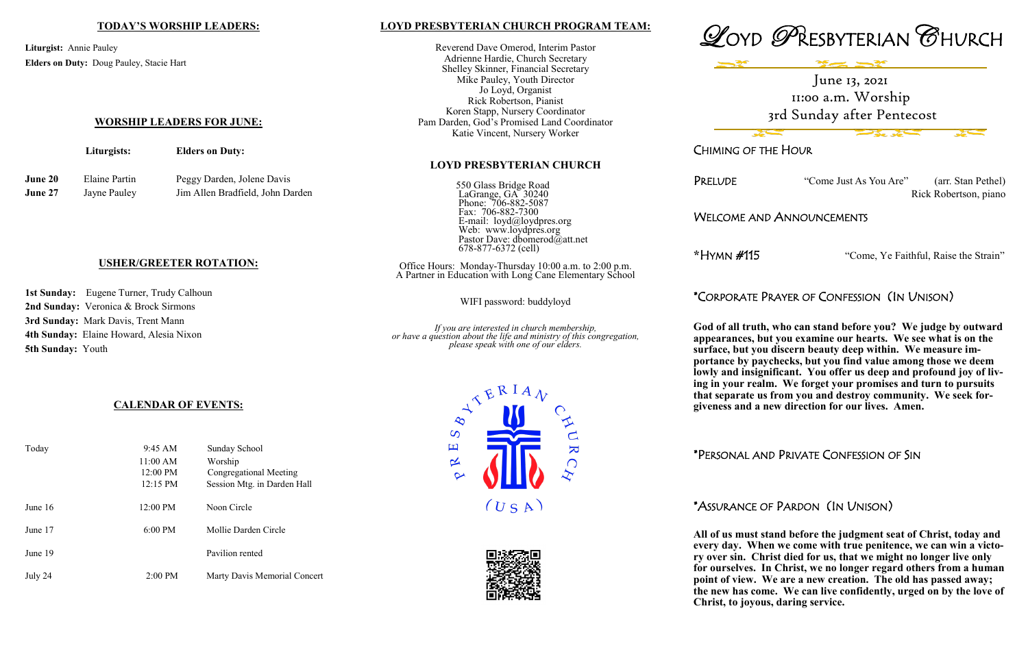"Come Just As You Are" (arr. Stan Pethel) Rick Robertson, piano

### ID ANNOUNCEMENTS

<sup>\*</sup>Come, Ye Faithful, Raise the Strain"

# PRAYER OF CONFESSION (IN UNISON)

**h**, who can stand before you? We judge by outward **but you examine our hearts. We see what is on the bu discern beauty deep within. We measure importance by paychecks, but you find value among those we deem**  *lionificant. You offer us deep and profound joy of liv***ing in your realm. We forget your promises and turn to pursuits that is from you and destroy community. We seek forgiveness and a new direction for our lives. Amen.** 



|                                                                                                         |                                      | <b>TODAY'S WORSHIP LEADERS:</b>                                | LOYD PRESBYTERIAN CHURCH PROGRAM TEAM:                                                                                                                                                                                                                                                                               |                                                                                             |
|---------------------------------------------------------------------------------------------------------|--------------------------------------|----------------------------------------------------------------|----------------------------------------------------------------------------------------------------------------------------------------------------------------------------------------------------------------------------------------------------------------------------------------------------------------------|---------------------------------------------------------------------------------------------|
| Liturgist: Annie Pauley<br>Elders on Duty: Doug Pauley, Stacie Hart<br><b>WORSHIP LEADERS FOR JUNE:</b> |                                      |                                                                | Reverend Dave Omerod, Interim Pastor<br>Adrienne Hardie, Church Secretary<br>Shelley Skinner, Financial Secretary<br>Mike Pauley, Youth Director<br>Jo Loyd, Organist<br>Rick Robertson, Pianist<br>Koren Stapp, Nursery Coordinator<br>Pam Darden, God's Promised Land Coordinator<br>Katie Vincent, Nursery Worker | $\mathcal{Q}_{\text{OYD}}$                                                                  |
|                                                                                                         | Liturgists:                          | <b>Elders on Duty:</b>                                         |                                                                                                                                                                                                                                                                                                                      | <b>CHIMING OF T</b>                                                                         |
|                                                                                                         |                                      |                                                                | <b>LOYD PRESBYTERIAN CHURCH</b>                                                                                                                                                                                                                                                                                      |                                                                                             |
| June 20<br>June 27                                                                                      | <b>Elaine Partin</b><br>Jayne Pauley | Peggy Darden, Jolene Davis<br>Jim Allen Bradfield, John Darden | 550 Glass Bridge Road<br>LaGrange, GA 30240<br>Phone: 706-882-5087                                                                                                                                                                                                                                                   | PRELUDE                                                                                     |
|                                                                                                         |                                      |                                                                | Fax: 706-882-7300<br>E-mail: loyd@loydpres.org<br>Web: www.loydpres.org<br>Pastor Dave: dbomerod@att.net                                                                                                                                                                                                             | <b>WELCOME AN</b>                                                                           |
|                                                                                                         |                                      |                                                                | 678-877-6372 (cell)                                                                                                                                                                                                                                                                                                  | *Hymn #115                                                                                  |
| <b>USHER/GREETER ROTATION:</b>                                                                          |                                      |                                                                | Office Hours: Monday-Thursday 10:00 a.m. to 2:00 p.m.<br>A Partner in Education with Long Cane Elementary School                                                                                                                                                                                                     |                                                                                             |
| 1st Sunday: Eugene Turner, Trudy Calhoun                                                                |                                      |                                                                | WIFI password: buddyloyd                                                                                                                                                                                                                                                                                             | *Corporate I                                                                                |
| 2nd Sunday: Veronica & Brock Sirmons                                                                    |                                      |                                                                |                                                                                                                                                                                                                                                                                                                      |                                                                                             |
| 3rd Sunday: Mark Davis, Trent Mann                                                                      |                                      |                                                                | If you are interested in church membership,<br>or have a question about the life and ministry of this congregation,                                                                                                                                                                                                  | God of all truth                                                                            |
| 4th Sunday: Elaine Howard, Alesia Nixon<br><b>5th Sunday: Youth</b><br><i>CALBMBAD</i> OR EVENTIC.      |                                      |                                                                | please speak with one of our elders.                                                                                                                                                                                                                                                                                 | appearances, b<br>surface, but you<br>portance by pa<br>lowly and insig<br>ing in your real |
|                                                                                                         |                                      |                                                                | $\mathcal{R}^{RIA}$                                                                                                                                                                                                                                                                                                  | that separate u                                                                             |

# \*PERSONAL AND PRIVATE CONFESSION OF SIN

## \*ASSURANCE OF PARDON (IN UNISON)

**All of us must stand before the judgment seat of Christ, today and every day. When we come with true penitence, we can win a victory over sin. Christ died for us, that we might no longer live only** 

**for ourselves. In Christ, we no longer regard others from a human point of view. We are a new creation. The old has passed away; the new has come. We can live confidently, urged on by the love of Christ, to joyous, daring service.** 

## **CALENDAR OF EVENTS:**

| Today     | $9:45 \, \text{AM}$<br>11:00 AM<br>12:00 PM<br>12:15 PM | Sunday School<br>Worship<br><b>Congregational Meeting</b><br>Session Mtg. in Darden Hall |
|-----------|---------------------------------------------------------|------------------------------------------------------------------------------------------|
| June $16$ | $12:00 \text{ PM}$                                      | Noon Circle                                                                              |
| June 17   | $6:00 \text{ PM}$                                       | Mollie Darden Circle                                                                     |
| June 19   |                                                         | Pavilion rented                                                                          |
| July 24   | $2:00 \text{ PM}$                                       | Marty Davis Memorial Concert                                                             |





June 13, 2021 11:00 a.m. Worship 3rd Sunday after Pentecost

THE HOUR